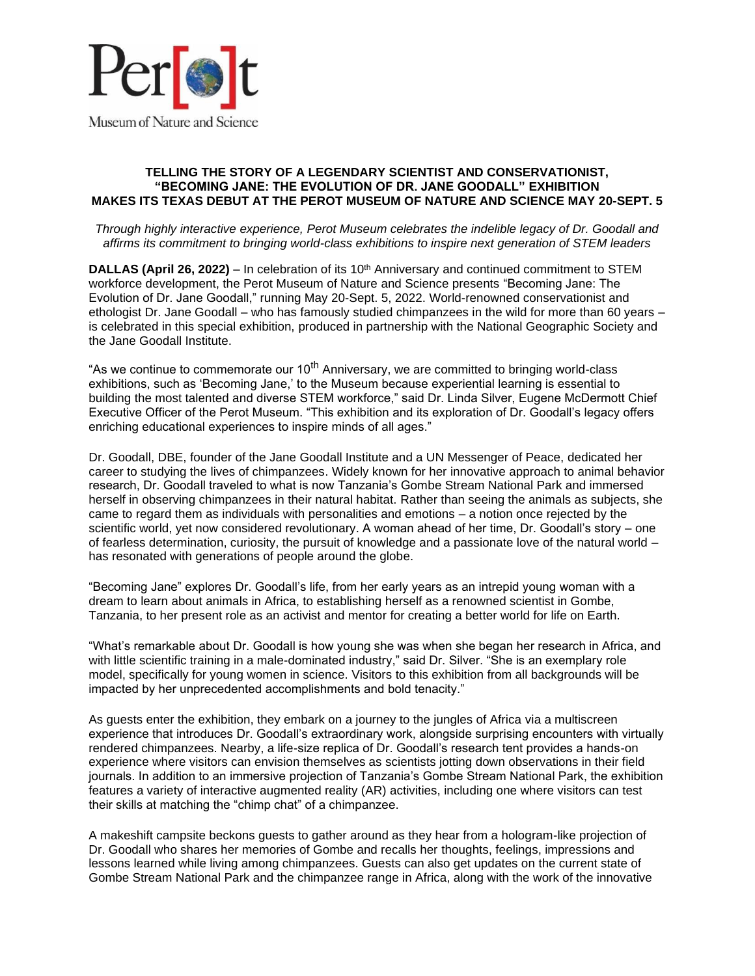

## **TELLING THE STORY OF A LEGENDARY SCIENTIST AND CONSERVATIONIST, "BECOMING JANE: THE EVOLUTION OF DR. JANE GOODALL" EXHIBITION MAKES ITS TEXAS DEBUT AT THE PEROT MUSEUM OF NATURE AND SCIENCE MAY 20-SEPT. 5**

*Through highly interactive experience, Perot Museum celebrates the indelible legacy of Dr. Goodall and affirms its commitment to bringing world-class exhibitions to inspire next generation of STEM leaders*

**DALLAS (April 26, 2022)** – In celebration of its 10<sup>th</sup> Anniversary and continued commitment to STEM workforce development, the Perot Museum of Nature and Science presents "Becoming Jane: The Evolution of Dr. Jane Goodall," running May 20-Sept. 5, 2022. World-renowned conservationist and ethologist Dr. Jane Goodall – who has famously studied chimpanzees in the wild for more than 60 years – is celebrated in this special exhibition, produced in partnership with the National Geographic Society and the Jane Goodall Institute.

"As we continue to commemorate our  $10^{th}$  Anniversary, we are committed to bringing world-class exhibitions, such as 'Becoming Jane,' to the Museum because experiential learning is essential to building the most talented and diverse STEM workforce," said Dr. Linda Silver, Eugene McDermott Chief Executive Officer of the Perot Museum. "This exhibition and its exploration of Dr. Goodall's legacy offers enriching educational experiences to inspire minds of all ages."

Dr. Goodall, DBE, founder of the Jane Goodall Institute and a UN Messenger of Peace, dedicated her career to studying the lives of chimpanzees. Widely known for her innovative approach to animal behavior research, Dr. Goodall traveled to what is now Tanzania's Gombe Stream National Park and immersed herself in observing chimpanzees in their natural habitat. Rather than seeing the animals as subjects, she came to regard them as individuals with personalities and emotions – a notion once rejected by the scientific world, yet now considered revolutionary. A woman ahead of her time, Dr. Goodall's story – one of fearless determination, curiosity, the pursuit of knowledge and a passionate love of the natural world – has resonated with generations of people around the globe.

"Becoming Jane" explores Dr. Goodall's life, from her early years as an intrepid young woman with a dream to learn about animals in Africa, to establishing herself as a renowned scientist in Gombe, Tanzania, to her present role as an activist and mentor for creating a better world for life on Earth.

"What's remarkable about Dr. Goodall is how young she was when she began her research in Africa, and with little scientific training in a male-dominated industry," said Dr. Silver. "She is an exemplary role model, specifically for young women in science. Visitors to this exhibition from all backgrounds will be impacted by her unprecedented accomplishments and bold tenacity."

As guests enter the exhibition, they embark on a journey to the jungles of Africa via a multiscreen experience that introduces Dr. Goodall's extraordinary work, alongside surprising encounters with virtually rendered chimpanzees. Nearby, a life-size replica of Dr. Goodall's research tent provides a hands-on experience where visitors can envision themselves as scientists jotting down observations in their field journals. In addition to an immersive projection of Tanzania's Gombe Stream National Park, the exhibition features a variety of interactive augmented reality (AR) activities, including one where visitors can test their skills at matching the "chimp chat" of a chimpanzee.

A makeshift campsite beckons guests to gather around as they hear from a hologram-like projection of Dr. Goodall who shares her memories of Gombe and recalls her thoughts, feelings, impressions and lessons learned while living among chimpanzees. Guests can also get updates on the current state of Gombe Stream National Park and the chimpanzee range in Africa, along with the work of the innovative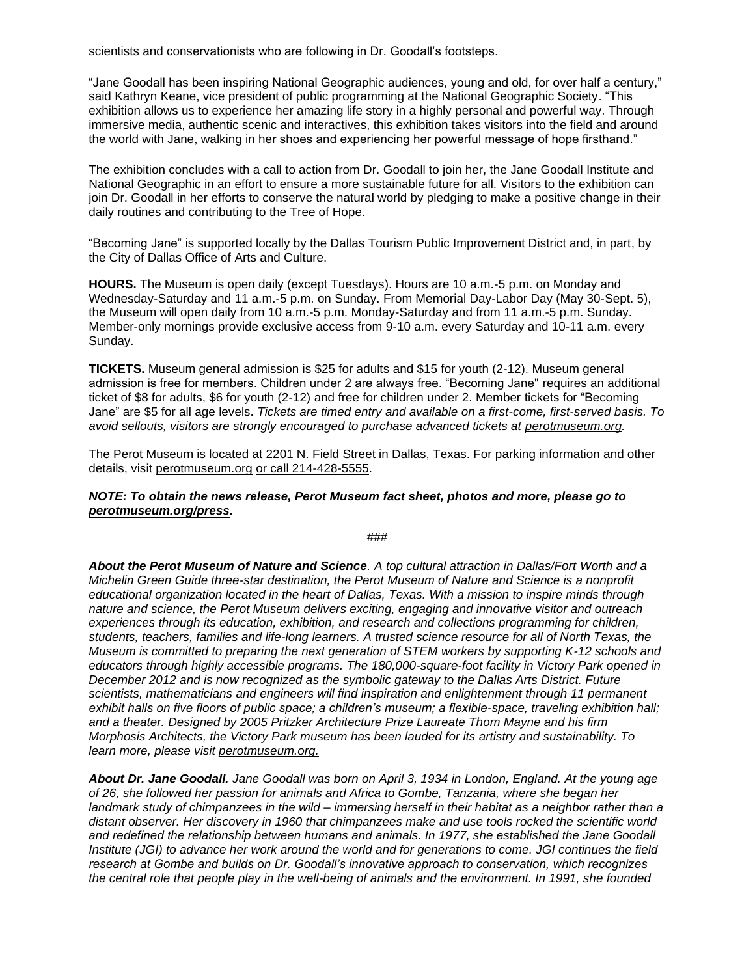scientists and conservationists who are following in Dr. Goodall's footsteps.

"Jane Goodall has been inspiring National Geographic audiences, young and old, for over half a century," said Kathryn Keane, vice president of public programming at the National Geographic Society. "This exhibition allows us to experience her amazing life story in a highly personal and powerful way. Through immersive media, authentic scenic and interactives, this exhibition takes visitors into the field and around the world with Jane, walking in her shoes and experiencing her powerful message of hope firsthand."

The exhibition concludes with a call to action from Dr. Goodall to join her, the Jane Goodall Institute and National Geographic in an effort to ensure a more sustainable future for all. Visitors to the exhibition can join Dr. Goodall in her efforts to conserve the natural world by pledging to make a positive change in their daily routines and contributing to the Tree of Hope.

"Becoming Jane" is supported locally by the Dallas Tourism Public Improvement District and, in part, by the City of Dallas Office of Arts and Culture.

**HOURS.** The Museum is open daily (except Tuesdays). Hours are 10 a.m.-5 p.m. on Monday and Wednesday-Saturday and 11 a.m.-5 p.m. on Sunday. From Memorial Day-Labor Day (May 30-Sept. 5), the Museum will open daily from 10 a.m.-5 p.m. Monday-Saturday and from 11 a.m.-5 p.m. Sunday. Member-only mornings provide exclusive access from 9-10 a.m. every Saturday and 10-11 a.m. every Sunday.

**TICKETS.** Museum general admission is \$25 for adults and \$15 for youth (2-12). Museum general admission is free for members. Children under 2 are always free. "Becoming Jane" requires an additional ticket of \$8 for adults, \$6 for youth (2-12) and free for children under 2. Member tickets for "Becoming Jane" are \$5 for all age levels. *Tickets are timed entry and available on a first-come, first-served basis. To avoid sellouts, visitors are strongly encouraged to purchase advanced tickets at [perotmuseum.org.](https://www.perotmuseum.org/tickets/index.html)* 

The Perot Museum is located at 2201 N. Field Street in Dallas, Texas. For parking information and other details, visit [perotmuseum.org](http://www.perotmuseum.org/) or call 214-428-5555.

*NOTE: To obtain the news release, Perot Museum fact sheet, photos and more, please go to [perotmuseum.org/press.](http://www.perotmuseum.org/press)*

*###*

*About the Perot Museum of Nature and Science. A top cultural attraction in Dallas/Fort Worth and a Michelin Green Guide three-star destination, the Perot Museum of Nature and Science is a nonprofit educational organization located in the heart of Dallas, Texas. With a mission to inspire minds through nature and science, the Perot Museum delivers exciting, engaging and innovative visitor and outreach experiences through its education, exhibition, and research and collections programming for children, students, teachers, families and life-long learners. A trusted science resource for all of North Texas, the Museum is committed to preparing the next generation of STEM workers by supporting K-12 schools and educators through highly accessible programs. The 180,000-square-foot facility in Victory Park opened in December 2012 and is now recognized as the symbolic gateway to the Dallas Arts District. Future scientists, mathematicians and engineers will find inspiration and enlightenment through 11 permanent exhibit halls on five floors of public space; a children's museum; a flexible-space, traveling exhibition hall; and a theater. Designed by 2005 Pritzker Architecture Prize Laureate Thom Mayne and his firm Morphosis Architects, the Victory Park museum has been lauded for its artistry and sustainability. To learn more, please visit [perotmuseum.org.](http://perotmuseum.org/)*

*About Dr. Jane Goodall. Jane Goodall was born on April 3, 1934 in London, England. At the young age of 26, she followed her passion for animals and Africa to Gombe, Tanzania, where she began her landmark study of chimpanzees in the wild – immersing herself in their habitat as a neighbor rather than a distant observer. Her discovery in 1960 that chimpanzees make and use tools rocked the scientific world and redefined the relationship between humans and animals. In 1977, she established the Jane Goodall Institute (JGI) to advance her work around the world and for generations to come. JGI continues the field research at Gombe and builds on Dr. Goodall's innovative approach to conservation, which recognizes the central role that people play in the well-being of animals and the environment. In 1991, she founded*